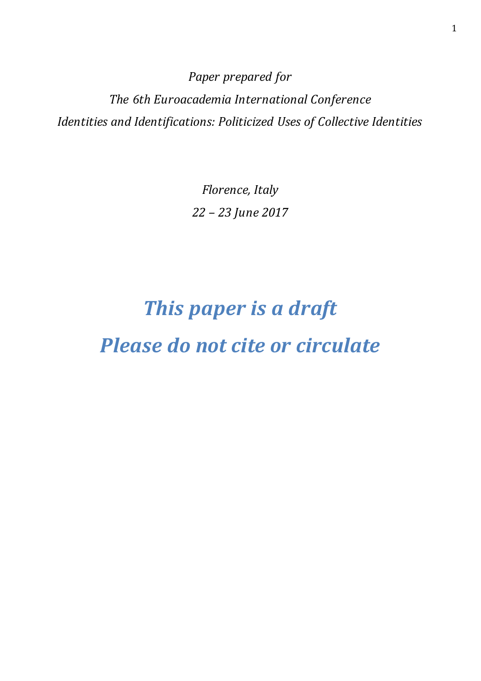*Paper prepared for The 6th Euroacademia International Conference Identities and Identifications: Politicized Uses of Collective Identities* 

> *Florence, Italy 22 – 23 June 2017*

# *This paper is a draft Please do not cite or circulate*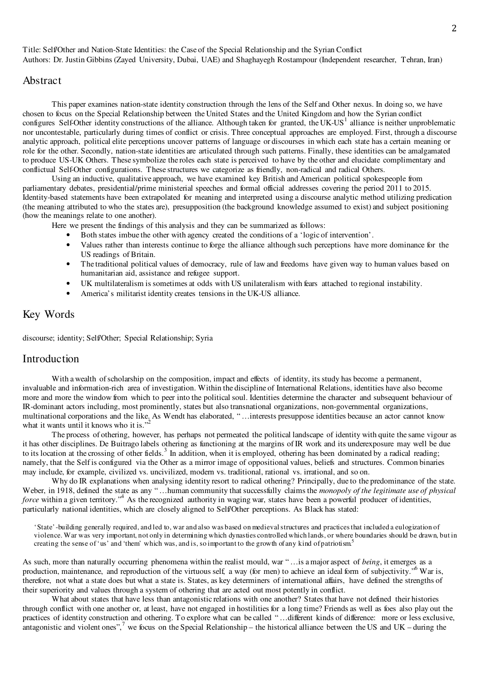2

Title: Self/Other and Nation-State Identities: the Case of the Special Relationship and the Syrian Conflict Authors: Dr. Justin Gibbins (Zayed University, Dubai, UAE) and Shaghayegh Rostampour (Independent researcher, Tehran, Iran)

## Abstract

This paper examines nation-state identity construction through the lens of the Self and Other nexus. In doing so, we have chosen to focus on the Special Relationship between the United States and the United Kingdom and how the Syrian conflict configures Self-Other identity constructions of the alliance. Although taken for granted, the  $UK-US<sup>1</sup>$  alliance is neither unproblematic nor uncontestable, particularly during times of conflict or crisis. Three conceptual approaches are employed. First, through a discourse analytic approach, political elite perceptions uncover patterns of language or discourses in which each state has a certain meaning or role for the other. Secondly, nation-state identities are articulated through such patterns. Finally, these identities can be amalgamated to produce US-UK Others. These symbolize the roles each state is perceived to have by the other and elucidate complimentary and conflictual Self-Other configurations. These structures we categorize as friendly, non-radical and radical Others.

Using an inductive, qualitative approach, we have examined key British and American political spokespeople from parliamentary debates, presidential/prime ministerial speeches and formal official addresses covering the period 2011 to 2015. Identity-based statements have been extrapolated for meaning and interpreted using a discourse analytic method utilizing predication (the meaning attributed to who the states are), presupposition (the background knowledge assumed to exist) and subject positioning (how the meanings relate to one another).

Here we present the findings of this analysis and they can be summarized as follows:

- Both states imbue the other with agency created the conditions of a 'logic of intervention'.
- Values rather than interests continue to forge the alliance although such perceptions have more dominance for the US readings of Britain.
- The traditional political values of democracy, rule of law and freedoms have given way to human values based on humanitarian aid, assistance and refugee support.
- UK multilateralism is sometimes at odds with US unilateralism with fears attached to regional instability.
- America's militarist identity creates tensions in the UK-US alliance.

## Key Words

discourse; identity; Self/Other; Special Relationship; Syria

## Introduction

With a wealth of scholarship on the composition, impact and effects of identity, its study has become a permanent, invaluable and information-rich area of investigation. Within the discipline of International Relations, identities have also become more and more the window from which to peer into the political soul. Identities determine the character and subsequent behaviour of IR-dominant actors including, most prominently, states but also transnational organizations, non-governmental organizations, multinational corporations and the like. As Wendt has elaborated, " …interests presuppose identities because an actor cannot know what it wants until it knows who it is."

The process of othering, however, has perhaps not permeated the political landscape of identity with quite the same vigour as it has other disciplines. De Buitrago labels othering as functioning at the margins of IR work and its underexposure may well be due to its location at the crossing of other fields.<sup>3</sup> In addition, when it is employed, othering has been dominated by a radical reading; namely, that the Self is configured via the Other as a mirror image of oppositional values, beliefs and structures. Common binaries may include, for example, civilized vs. uncivilized, modern vs. traditional, rational vs. irrational, and so on.

Why do IR explanations when analysing identity resort to radical othering? Principally, due to the predominance of the state. Weber, in 1918, defined the state as any "...human community that successfully claims the *monopoly of the legitimate use of physical* force within a given territory.<sup>4</sup> As the recognized authority in waging war, states have been a powerful producer of identities, particularly national identities, which are closely aligned to Self/Other perceptions. As Black has stated:

'State'-building generally required, and led to, war and also was based on medieval structures and practices that included a eulogization of violence. War was very important, not only in determining which dynasties controlled which lands, or where boundaries should be drawn, but in creating the sense of 'us' and 'them' which was, and is, so important to the growth of any kind of patriotism.<sup>5</sup>

As such, more than naturally occurring phenomena within the realist mould, war " …is a major aspect of *being*, it emerges as a production, maintenance, and reproduction of the virtuous self, a way (for men) to achieve an ideal form of subjectivity."<sup>6</sup> War is, therefore, not what a state does but what a state is. States, as key determiners of international affairs, have defined the strengths of their superiority and values through a system of othering that are acted out most potently in conflict.

What about states that have less than antagonistic relations with one another? States that have not defined their histories through conflict with one another or, at least, have not engaged in hostilities for a long time? Friends as well as foes also play out the practices of identity construction and othering. To explore what can be called "...different kinds of difference: more or less exclusive, antagonistic and violent ones",<sup>7</sup> we focus on the Special Relationship – the historical alliance between the US and UK – during the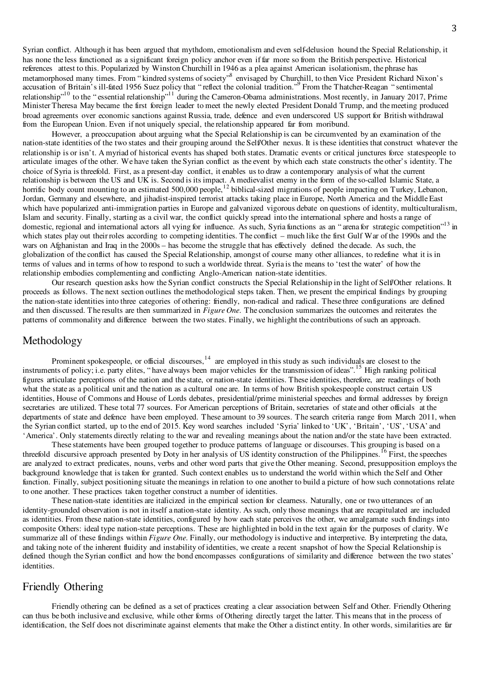3

Syrian conflict. Although it has been argued that mythdom, emotionalism and even self-delusion hound the Special Relationship, it has none the less functioned as a significant foreign policy anchor even if far more so from the British perspective. Historical references attest to this. Popularized by Winston Churchill in 1946 as a plea against American isolationism, the phrase has metamorphosed many times. From "kindred systems of society"<sup>8</sup> envisaged by Churchill, to then Vice President Richard Nixon's accusation of Britain's ill-fated 1956 Suez policy that "reflect the colonial tradition."<sup>9</sup> From the Thatcher-Reagan "sentimental relationship"<sup>10</sup> to the "essential relationship"<sup>11</sup> during the Cameron-Obama administrations. Most recently, in January 2017, Prime Minister Theresa May became the first foreign leader to meet the newly elected President Donald Trump, and the meeting produced broad agreements over economic sanctions against Russia, trade, defence and even underscored US support for British withdrawal from the European Union. Even if not uniquely special, the relationship appeared far from moribund.

However, a preoccupation about arguing what the Special Relationship is can be circumvented by an examination of the nation-state identities of the two states and their grouping around the Self/Other nexus. It is these identities that construct whatever the relationship is or isn't. A myriad of historical events has shaped both states. Dramatic events or critical junctures force statespeople to articulate images of the other. We have taken the Syrian conflict as the event by which each state constructs the other's identity. The choice of Syria is threefold. First, as a present-day conflict, it enables us to draw a contemporary analysis of what the current relationship is between the US and UK is. Second is its impact. A medievalist enemy in the form of the so-called Islamic State, a horrific body count mounting to an estimated 500,000 people,<sup>12</sup> biblical-sized migrations of people impacting on Turkey, Lebanon, Jordan, Germany and elsewhere, and jihadist-inspired terrorist attacks taking place in Europe, North America and the Middle East which have popularized anti-immigration parties in Europe and galvanized vigorous debate on questions of identity, multiculturalism, Islam and security. Finally, starting as a civil war, the conflict quickly spread into the international sphere and hosts a range of domestic, regional and international actors all vying for influence. As such, Syria functions as an "arena for strategic competition"<sup>13</sup> in which states play out their roles according to competing identities. The conflict – much like the first Gulf War of the 1990s and the wars on Afghanistan and Iraq in the 2000s – has become the struggle that has effectively defined the decade. As such, the globalization of the conflict has caused the Special Relationship, amongst of course many other alliances, to redefine what it is in terms of values and in terms of how to respond to such a worldwide threat. Syria is the means to 'test the water' of how the relationship embodies complementing and conflicting Anglo-American nation-state identities.

Our research question asks how the Syrian conflict constructs the Special Relationship in the light of Self/Other relations. It proceeds as follows. The next section outlines the methodological steps taken. Then, we present the empirical findings by grouping the nation-state identities into three categories of othering: friendly, non-radical and radical. These three configurations are defined and then discussed. The results are then summarized in *Figure One*. The conclusion summarizes the outcomes and reiterates the patterns of commonality and difference between the two states. Finally, we highlight the contributions of such an approach.

#### Methodology

Prominent spokespeople, or official discourses,<sup>14</sup> are employed in this study as such individuals are closest to the instruments of policy; i.e. party elites, "have always been major vehicles for the transmission of ideas".<sup>15</sup> High ranking political figures articulate perceptions of the nation and the state, or nation-state identities. These identities, therefore, are readings of both what the state as a political unit and the nation as a cultural one are. In terms of how British spokespeople construct certain US identities, House of Commons and House of Lords debates, presidential/prime ministerial speeches and formal addresses by foreign secretaries are utilized. These total 77 sources. For American perceptions of Britain, secretaries of state and other officials at the departments of state and defence have been employed. These amount to 39 sources. The search criteria range from March 2011, when the Syrian conflict started, up to the end of 2015. Key word searches included 'Syria' linked to 'UK', 'Britain', 'US', 'USA' and 'America'. Only statements directly relating to the war and revealing meanings about the nation and/or the state have been extracted.

These statements have been grouped together to produce patterns of language or discourses. This grouping is based on a threefold discursive approach presented by Doty in her analysis of US identity construction of the Philippines.<sup>16</sup> First, the speeches are analyzed to extract predicates, nouns, verbs and other word parts that give the Other meaning. Second, presupposition employs the background knowledge that is taken for granted. Such context enables us to understand the world within which the Self and Other function. Finally, subject positioning situate the meanings in relation to one another to build a picture of how such connotations relate to one another. These practices taken together construct a number of identities.

These nation-state identities are italicized in the empirical section for clearness. Naturally, one or two utterances of an identity-grounded observation is not in itself a nation-state identity. As such, only those meanings that are recapitulated are included as identities. From these nation-state identities, configured by how each state perceives the other, we amalgamate such findings into composite Others: ideal type nation-state perceptions. These are highlighted in bold in the text again for the purposes of clarity. We summarize all of these findings within *Figure One*. Finally, our methodology is inductive and interpretive. By interpreting the data, and taking note of the inherent fluidity and instability of identities, we create a recent snapshot of how the Special Relationship is defined though the Syrian conflict and how the bond encompasses configurations of similarity and difference between the two states' identities.

## Friendly Othering

Friendly othering can be defined as a set of practices creating a clear association between Self and Other. Friendly Othering can thus be both inclusive and exclusive, while other forms of Othering directly target the latter. This means that in the process of identification, the Self does not discriminate against elements that make the Other a distinct entity. In other words, similarities are far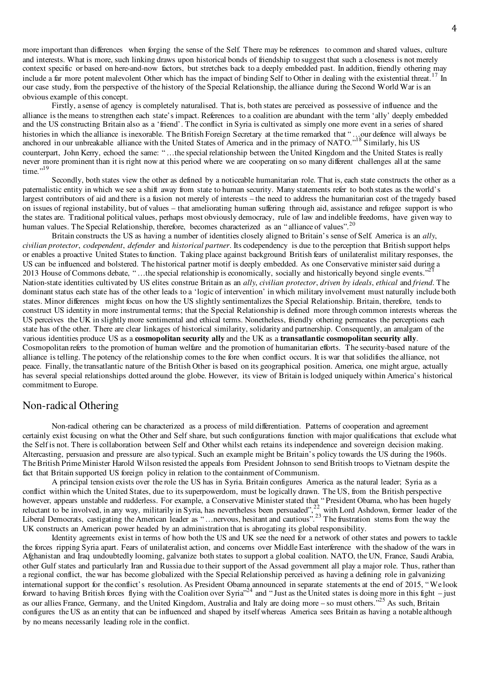more important than differences when forging the sense of the Self. There may be references to common and shared values, culture and interests. What is more, such linking draws upon historical bonds of friendship to suggest that such a closeness is not merely context specific or based on here-and-now factors, but stretches back to a deeply embedded past. In addition, friendly othering may include a far more potent malevolent Other which has the impact of binding Self to Other in dealing with the existential threat.<sup>17</sup> In our case study, from the perspective of the history of the Special Relationship, the alliance during the Second World War is an obvious example of this concept.

Firstly, a sense of agency is completely naturalised. That is, both states are perceived as possessive of influence and the alliance is the means to strengthen each state's impact. References to a coalition are abundant with the term 'ally' deeply embedded and the US constructing Britain also as a 'friend'. The conflict in Syria is cultivated as simply one more event in a series of shared histories in which the alliance is inexorable. The British Foreign Secretary at the time remarked that "...our defence will always be anchored in our unbreakable alliance with the United States of America and in the primacy of NATO."<sup>18</sup> Similarly, his US counterpart, John Kerry, echoed the same: " …the special relationship between the United Kingdom and the United States is really never more prominent than it is right now at this period where we are cooperating on so many different challenges all at the same time. $19$ 

Secondly, both states view the other as defined by a noticeable humanitarian role. That is, each state constructs the other as a paternalistic entity in which we see a shift away from state to human security. Many statements refer to both states as the world's largest contributors of aid and there is a fusion not merely of interests – the need to address the humanitarian cost of the tragedy based on issues of regional instability, but of values – that ameliorating human suffering through aid, assistance and refugee support is who the states are. Traditional political values, perhaps most obviously democracy, rule of law and indelible freedoms, have given way to human values. The Special Relationship, therefore, becomes characterized as an "alliance of values".<sup>20</sup>

Britain constructs the US as having a number of identities closely aligned to Britain's sense of Self. America is an *ally*, *civilian protector*, *codependent*, *defender* and *historical partner*. Its codependency is due to the perception that British support helps or enables a proactive United States to function. Taking place against background British fears of unilateralist military responses, the US can be influenced and bolstered. The historical partner motif is deeply embedded. As one Conservative minister said during a 2013 House of Commons debate, "...the special relationship is economically, socially and historically beyond single events." Nation-state identities cultivated by US elites construe Britain as an *ally*, *civilian protector*, *driven by ideals*, *ethical* and *friend*. The dominant status each state has of the other leads to a 'logic of intervention' in which military involvement must naturally include both states. Minor differences might focus on how the US slightly sentimentalizes the Special Relationship. Britain, therefore, tends to construct US identity in more instrumental terms; that the Special Relationship is defined more through common interests whereas the US perceives the UK in slightly more sentimental and ethical terms. Nonetheless, friendly othering permeates the perceptions each state has of the other. There are clear linkages of historical similarity, solidarity and partnership. Consequently, an amalgam of the various identities produce US as a **cosmopolitan security ally** and the UK as a **transatlantic cosmopolitan security ally**. Cosmopolitan refers to the promotion of human welfare and the promotion of humanitarian efforts. The security-based nature of the alliance is telling. The potency of the relationship comes to the fore when conflict occurs. It is war that solidifies the alliance, not peace. Finally, the transatlantic nature of the British Other is based on its geographical position. America, one might argue, actually has several special relationships dotted around the globe. However, its view of Britain is lodged uniquely within America's historical commitment to Europe.

### Non-radical Othering

Non-radical othering can be characterized as a process of mild differentiation. Patterns of cooperation and agreement certainly exist focusing on what the Other and Self share, but such configurations function with major qualifications that exclude what the Self is not. There is collaboration between Self and Other whilst each retains its independence and sovereign decision making. Altercasting, persuasion and pressure are also typical. Such an example might be Britain's policy towards the US during the 1960s. The British Prime Minister Harold Wilson resisted the appeals from President Johnson to send British troops to Vietnam despite the fact that Britain supported US foreign policy in relation to the containment of Communism.

 A principal tension exists over the role the US has in Syria. Britain configures America as the natural leader; Syria as a conflict within which the United States, due to its superpowerdom, must be logically drawn. The US, from the British perspective however, appears unstable and rudderless. For example, a Conservative Minister stated that " President Obama, who has been hugely reluctant to be involved, in any way, militarily in Syria, has nevertheless been persuaded",  $^{22}_{22}$  with Lord Ashdown, former leader of the Liberal Democrats, castigating the American leader as "... nervous, hesitant and cautious".<sup>23</sup> The frustration stems from the way the UK constructs an American power headed by an administration that is abrogating its global responsibility.

 Identity agreements exist in terms of how both the US and UK see the need for a network of other states and powers to tackle the forces ripping Syria apart. Fears of unilateralist action, and concerns over Middle East interference with the shadow of the wars in Afghanistan and Iraq undoubtedly looming, galvanize both states to support a global coalition. NATO, the UN, France, Saudi Arabia, other Gulf states and particularly Iran and Russia due to their support of the Assad government all play a major role. Thus, rather than a regional conflict, the war has become globalized with the Special Relationship perceived as having a defining role in galvanizing international support for the conflict's resolution. As President Obama announced in separate statements at the end of 2015, " We look forward to having British forces flying with the Coalition over Syria<sup> $24$ </sup> and "Just as the United states is doing more in this fight – just as our allies France, Germany, and the United Kingdom, Australia and Italy are doing more – so must others."<sup>25</sup> As such, Britain configures the US as an entity that can be influenced and shaped by itself whereas America sees Britain as having a notable although by no means necessarily leading role in the conflict.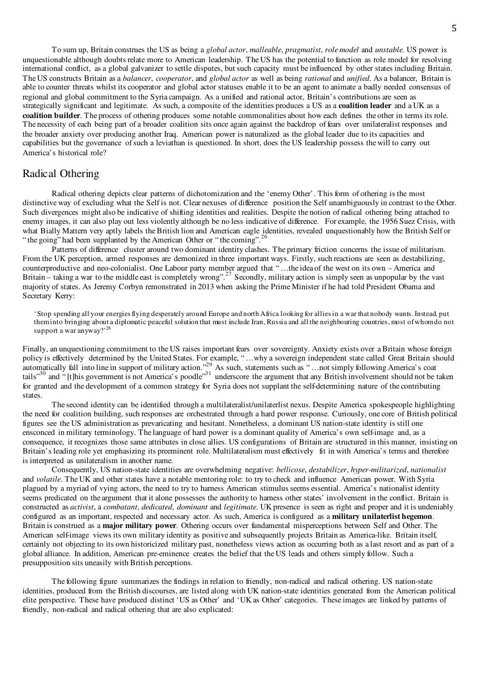To sum up, Britain construes the US as being a *global actor*, *malleable*, *pragmatist*, *role model* and *unstable*. US power is unquestionable although doubts relate more to American leadership. The US has the potential to function as role model for resolving international conflict, as a global galvanizer to settle disputes, but such capacity must be influenced by other states including Britain. The US constructs Britain as a *balancer*, *cooperator*, and *global actor* as well as being *rational* and *unified*. As a balancer, Britain is able to counter threats whilst its cooperator and global actor statuses enable it to be an agent to animate a badly needed consensus of regional and global commitment to the Syria campaign. As a unified and rational actor, Britain's contributions are seen as strategically significant and legitimate. As such, a composite of the identities produces a US as a **coalition leader** and a UK as a **coalition builder**. The process of othering produces some notable commonalities about how each defines the other in terms its role. The necessity of each being part of a broader coalition sits once again against the backdrop of fears over unilateralist responses and the broader anxiety over producing another Iraq. American power is naturalized as the global leader due to its capacities and capabilities but the governance of such a leviathan is questioned. In short, does the US leadership possess the will to carry out America's historical role?

### Radical Othering

Radical othering depicts clear patterns of dichotomization and the 'enemy Other'. This form of othering is the most distinctive way of excluding what the Self is not. Clear nexuses of difference position the Self unambiguously in contrast to the Other. Such divergences might also be indicative of shifting identities and realities. Despite the notion of radical othering being attached to enemy images, it can also play out less violently although be no less indicative of difference. For example, the 1956 Suez Crisis, with what Bially Mattern very aptly labels the British lion and American eagle identities, revealed unquestionably how the British Self or " the going" had been supplanted by the American Other or "the coming".<sup>26</sup>

Patterns of difference cluster around two dominant identity clashes. The primary friction concerns the issue of militarism. From the UK perception, armed responses are demonized in three important ways. Firstly, such reactions are seen as destabilizing, counterproductive and neo-colonialist. One Labour party member argued that " …the idea of the west on its own – America and Britain – taking a war to the middle east is completely wrong".<sup>27</sup> Secondly, military action is simply seen as unpopular by the vast majority of states. As Jeremy Corbyn remonstrated in 2013 when asking the Prime Minister if he had told President Obama and Secretary Kerry:

'Stop spending all your energies flying desperately around Europe and north Africa looking for allies in a war that nobody wants. Instead, put them into bringing about a diplomatic peaceful solution that must include Iran, Russia and all the neighbouring countries, most of whom do not support a war anyway?'<sup>28</sup>

Finally, an unquestioning commitment to the US raises important fears over sovereignty. Anxiety exists over a Britain whose foreign policy is effectively determined by the United States. For example, " …why a sovereign independent state called Great Britain should automatically fall into line in support of military action." $^{29}_{\sim}$  As such, statements such as "... not simply following America's coat tails"<sup>30</sup> and " [t]his government is not America's poodle"<sup>31</sup> underscore the argument that any British involvement should not be taken for granted and the development of a common strategy for Syria does not supplant the self-determining nature of the contributing states.

The second identity can be identified through a multilateralist/unilaterlist nexus. Despite America spokespeople highlighting the need for coalition building, such responses are orchestrated through a hard power response. Curiously, one core of British political figures see the US administration as prevaricating and hesitant. Nonetheless, a dominant US nation-state identity is still one ensconced in military terminology. The language of hard power is a dominant quality of America's own self-image and, as a consequence, it recognizes those same attributes in close allies. US configurations of Britain are structured in this manner, insisting on Britain's leading role yet emphasizing its preeminent role. Multilateralism must effectively fit in with America's terms and therefore is interpreted as unilateralism in another name.

Consequently, US nation-state identities are overwhelming negative: *bellicose*, *destabilizer*, *hyper-militarized*, *nationalist*  and *volatile*. The UK and other states have a notable mentoring role: to try to check and influence American power. With Syria plagued by a myriad of vying actors, the need to try to harness American stimulus seems essential. America's nationalist identity seems predicated on the argument that it alone possesses the authority to harness other states' involvement in the conflict. Britain is constructed as *activist*, a *combatant*, *dedicated*, *dominant* and *legitimate*. UK presence is seen as right and proper and it is undeniably configured as an important, respected and necessary actor. As such, America is configured as a **military unilaterlist hegemon**. Britain is construed as a **major military power**. Othering occurs over fundamental misperceptions between Self and Other. The American self-image views its own military identity as positive and subsequently projects Britain as America-like. Britain itself, certainly not objecting to its own historicized military past, nonetheless views action as occurring both as a last resort and as part of a global alliance. In addition, American pre-eminence creates the belief that the US leads and others simply follow. Such a presupposition sits uneasily with British perceptions.

 The following figure summarizes the findings in relation to friendly, non-radical and radical othering. US nation-state identities, produced from the British discourses, are listed along with UK nation-state identities generated from the American political elite perspective. These have produced distinct 'US as Other' and 'UK as Other' categories. These images are linked by patterns of friendly, non-radical and radical othering that are also explicated: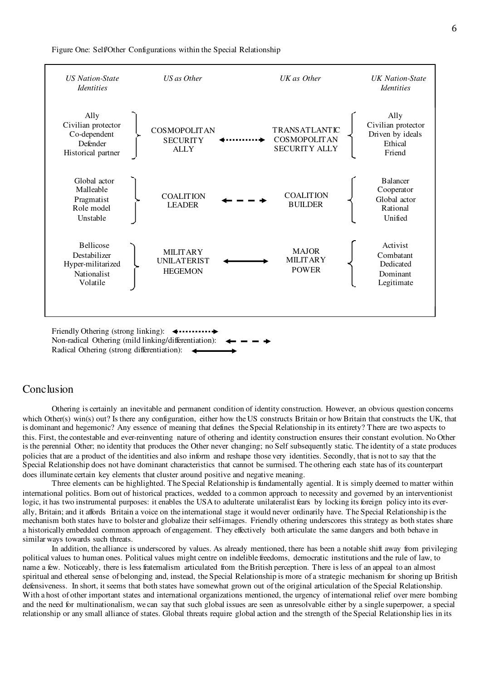Figure One: Self/Other Configurations within the Special Relationship



Non-radical Othering (mild linking/differentiation): Radical Othering (strong differentiation):

#### **Conclusion**

Othering is certainly an inevitable and permanent condition of identity construction. However, an obvious question concerns which Other(s) win(s) out? Is there any configuration, either how the US constructs Britain or how Britain that constructs the UK, that is dominant and hegemonic? Any essence of meaning that defines the Special Relationship in its entirety? There are two aspects to this. First, the contestable and ever-reinventing nature of othering and identity construction ensures their constant evolution. No Other is the perennial Other; no identity that produces the Other never changing; no Self subsequently static. The identity of a state produces policies that are a product of the identities and also inform and reshape those very identities. Secondly, that is not to say that the Special Relationship does not have dominant characteristics that cannot be surmised. The othering each state has of its counterpart does illuminate certain key elements that cluster around positive and negative meaning.

Three elements can be highlighted. The Special Relationship is fundamentally agential. It is simply deemed to matter within international politics. Born out of historical practices, wedded to a common approach to necessity and governed by an interventionist logic, it has two instrumental purposes: it enables the USA to adulterate unilateralist fears by locking its foreign policy into its everally, Britain; and it affords Britain a voice on the international stage it would never ordinarily have. The Special Relationship is the mechanism both states have to bolster and globalize their self-images. Friendly othering underscores this strategy as both states share a historically embedded common approach of engagement. They effectively both articulate the same dangers and both behave in similar ways towards such threats.

In addition, the alliance is underscored by values. As already mentioned, there has been a notable shift away from privileging political values to human ones. Political values might centre on indelible freedoms, democratic institutions and the rule of law, to name a few. Noticeably, there is less fraternalism articulated from the British perception. There is less of an appeal to an almost spiritual and ethereal sense of belonging and, instead, the Special Relationship is more of a strategic mechanism for shoring up British defensiveness. In short, it seems that both states have somewhat grown out of the original articulation of the Special Relationship. With a host of other important states and international organizations mentioned, the urgency of international relief over mere bombing and the need for multinationalism, we can say that such global issues are seen as unresolvable either by a single superpower, a special relationship or any small alliance of states. Global threats require global action and the strength of the Special Relationship lies in its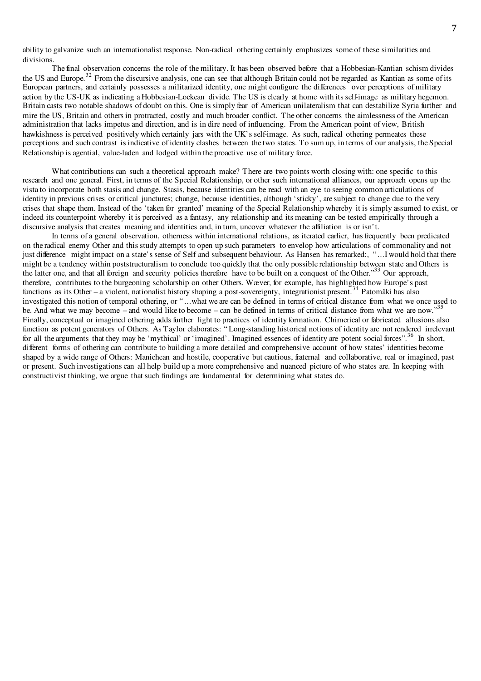ability to galvanize such an internationalist response. Non-radical othering certainly emphasizes some of these similarities and divisions.

The final observation concerns the role of the military. It has been observed before that a Hobbesian-Kantian schism divides the US and Europe.<sup>32</sup> From the discursive analysis, one can see that although Britain could not be regarded as Kantian as some of its European partners, and certainly possesses a militarized identity, one might configure the differences over perceptions of military action by the US-UK as indicating a Hobbesian-Lockean divide. The US is clearly at home with its self-image as military hegemon. Britain casts two notable shadows of doubt on this. One is simply fear of American unilateralism that can destabilize Syria further and mire the US, Britain and others in protracted, costly and much broader conflict. The other concerns the aimlessness of the American administration that lacks impetus and direction, and is in dire need of influencing. From the American point of view, British hawkishness is perceived positively which certainly jars with the UK's self-image. As such, radical othering permeates these perceptions and such contrast is indicative of identity clashes between the two states. To sum up, in terms of our analysis, the Special Relationship is agential, value-laden and lodged within the proactive use of military force.

What contributions can such a theoretical approach make? There are two points worth closing with: one specific to this research and one general. First, in terms of the Special Relationship, or other such international alliances, our approach opens up the vista to incorporate both stasis and change. Stasis, because identities can be read with an eye to seeing common articulations of identity in previous crises or critical junctures; change, because identities, although 'sticky', are subject to change due to the very crises that shape them. Instead of the 'taken for granted' meaning of the Special Relationship whereby it is simply assumed to exist, or indeed its counterpoint whereby it is perceived as a fantasy, any relationship and its meaning can be tested empirically through a discursive analysis that creates meaning and identities and, in turn, uncover whatever the affiliation is or isn't.

In terms of a general observation, otherness within international relations, as iterated earlier, has frequently been predicated on the radical enemy Other and this study attempts to open up such parameters to envelop how articulations of commonality and not just difference might impact on a state's sense of Self and subsequent behaviour. As Hansen has remarked:, " ...I would hold that there might be a tendency within poststructuralism to conclude too quickly that the only possible relationship between state and Others is the latter one, and that all foreign and security policies therefore have to be built on a conquest of the Other."<sup>33</sup> Our approach, therefore, contributes to the burgeoning scholarship on other Others. Wæver, for example, has highlighted how Europe's past functions as its Other – a violent, nationalist history shaping a post-sovereignty, integrationist present.<sup>34</sup> Patomäki has also investigated this notion of temporal othering, or " ...what we are can be defined in terms of critical distance from what we once used to be. And what we may become – and would like to become – can be defined in terms of critical distance from what we are now." Finally, conceptual or imagined othering adds further light to practices of identity formation. Chimerical or fabricated allusions also function as potent generators of Others. As Taylor elaborates: " Long-standing historical notions of identity are not rendered irrelevant for all the arguments that they may be 'mythical' or 'imagined'. Imagined essences of identity are potent social forces".<sup>36</sup> In short, different forms of othering can contribute to building a more detailed and comprehensive account of how states' identities become shaped by a wide range of Others: Manichean and hostile, cooperative but cautious, fraternal and collaborative, real or imagined, past or present. Such investigations can all help build up a more comprehensive and nuanced picture of who states are. In keeping with constructivist thinking, we argue that such findings are fundamental for determining what states do.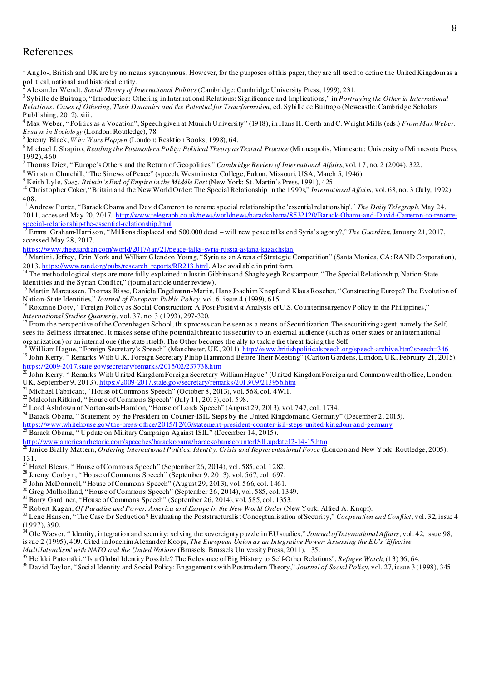## References

<sup>1</sup> Anglo-, British and UK are by no means synonymous. However, for the purposes of this paper, they are all used to define the United Kingdom as a political, national and historical entity.<br><sup>2</sup> Alexander Wendt, Social Theory of In

Alexander Wendt, *Social Theory of International Politics* (Cambridge: Cambridge University Press, 1999), 231.

3 Sybille de Buitrago, "Introduction: Othering in International Relations: Significance and Implications," in *Portraying the Other in International Relations: Cases of Othering, Their Dynamics and the Potential for Transformation*, ed. Sybille de Buitrago (Newcastle: Cambridge Scholars Publishing, 2012), xiii.

4 Max Weber, " Politics as a Vocation", Speech given at Munich University" (1918), in Hans H. Gerth and C. Wright Mills (eds.) *From Max Weber: Essays in Sociology* (London: Routledge), 78 5 Jeremy Black, *W hy W ars Happen* (London: Reaktion Books, 1998), 64.

6 Michael J. Shapiro, *Reading the Postmodern Polity: Political Theory as Textual Practice* (Minneapolis, Minnesota: University of Minnesota Press, 1992), 460

7 Thomas Diez, " Europe's Others and the Return of Geopolitics," *Cambridge Review of International Affairs*, vol. 17, no. 2 (2004), 322.

<sup>8</sup> Winston Churchill, "The Sinews of Peace" (speech, Westminster College, Fulton, Missouri, USA, March 5, 1946).

9 Keith Lyle, *Suez: Britain's End of Empire in the Middle East* (New York: St. Martin's Press, 1991), 425.

<sup>10</sup> Christopher Coker, "Britain and the New World Order: The Special Relationship in the 1990s," *International Affairs*, vol. 68, no. 3 (July, 1992), 408.

<sup>11</sup> Andrew Porter, "Barack Obama and David Cameron to rename special relationship the 'essential relationship'," *The Daily Telegraph*, May 24, 2011, accessed May 20, 2017. http://www.telegraph.co.uk/news/worldnews/barackobama/8532120/Barack-Obama-and-David-Cameron-to-rename $s_{\text{p}}$  special-relationship-the-essential-relationship.html<br> $\frac{12}{12}$  Engine

<sup>12</sup> Emma Graham-Harrison, "Millions displaced and 500,000 dead – will new peace talks end Syria's agony?," *The Guardian*, January 21, 2017, accessed May 28, 2017.

https://www.theguardian.com/world/2017/jan/21/peace-talks-syria-russia-astana-kazakhstan

<sup>13</sup> Martini, Jeffrey, Erin York and William Glendon Young, "Syria as an Arena of Strategic Competition" (Santa Monica, CA: RAND Corporation), 2013. https://www.rand.org/pubs/research\_reports/RR213.html. Also available in print form.

<sup>14</sup> The methodological steps are more fully explained in Justin Gibbins and Shaghayegh Rostampour, "The Special Relationship, Nation-State Identities and the Syrian Conflict," (journal article under review).

<sup>15</sup> Martin Marcussen, Thomas Risse, Daniela Engelmann-Martin, Hans Joachim Knopf and Klaus Roscher, "Constructing Europe? The Evolution of Nation-State Identities," *Journal of European Public Policy*, vol. 6, issue 4 (1999), 615.

<sup>16</sup> Roxanne Doty, "Foreign Policy as Social Construction: A Post-Positivist Analysis of U.S. Counterinsurgency Policy in the Philippines," *International Studies Quarterly*, vol. 37, no. 3 (1993), 297-320.

<sup>17</sup> From the perspective of the Copenhagen School, this process can be seen as a means of Securitization. The securitizing agent, namely the Self, sees its Selfness threatened. It makes sense of the potential threat to its security to an external audience (such as other states or an international organization) or an internal one (the state itself). The Other becomes the ally to tackle the threat facing the Self.

<sup>18</sup> William Hague, "Foreign Secretary's Speech" (Manchester, UK, 2011). http://www.britishpoliticalspeech.org/speech-archive.htm?speech=346

<sup>19</sup> John Kerry, "Remarks With U.K. Foreign Secretary Philip Hammond Before Their Meeting" (Carlton Gardens, London, UK, February 21, 2015). https://2009-2017.state.gov/secretary/remarks/2015/02/237738.htm

<sup>20</sup> John Kerry, " Remarks With United Kingdom Foreign Secretary William Hague" (United Kingdom Foreign and Commonwealth office, London, UK, September 9, 2013). https://2009-2017.state.gov/secretary/remarks/2013/09/213956.htm

<sup>21</sup> Michael Fabricant, "House of Commons Speech" (October 8, 2013), vol. 568, col. 4WH.

<sup>22</sup> Malcolm Rifkind, "House of Commons Speech" (July 11, 2013), col. 598.

<sup>23</sup> Lord Ashdown of Norton-sub-Hamdon, "House of Lords Speech" (August 29, 2013), vol. 747, col. 1734.

<sup>24</sup> Barack Obama, "Statement by the President on Counter-ISIL Steps by the United Kingdom and Germany" (December 2, 2015).

- https://www.whitehouse.gov/the-press-office/2015/12/03/statement-president-counter-isil-steps-united-kingdom-and-germany
- Barack Obama, " Update on Military Campaign Against ISIL" (December 14, 2015).

http://www.americanrhetoric.com/speeches/barackobama/barackobamacounterISILupdate12-14-15.htm

Janice Bially Mattern, *Ordering International Politics: Identity*, Crisis and Representational Force (London and New York: Routledge, 2005), 131.

 $^{27}$  Hazel Blears, "House of Commons Speech" (September 26, 2014), vol. 585, col. 1282.

<sup>28</sup> Jeremy Corbyn, "House of Commons Speech" (September 9, 2013), vol. 567, col. 697.

<sup>29</sup> John McDonnell, "House of Commons Speech" (August 29, 2013), vol. 566, col. 1461.

<sup>30</sup> Greg Mulholland, "House of Commons Speech" (September 26, 2014), vol. 585, col. 1349.

<sup>31</sup> Barry Gardiner, "House of Commons Speech" (September 26, 2014), vol. 585, col. 1353.

<sup>32</sup> Robert Kagan, *Of Paradise and Power: America and Europe in the New World Order* (New York: Alfred A. Knopf).

<sup>33</sup> Lene Hansen, "The Case for Seduction? Evaluating the Poststructuralist Conceptualisation of Security," *Cooperation and Conflict*, vol. 32, issue 4

(1997), 390.

<sup>34</sup> Ole Wæver. " Identity, integration and security: solving the sovereignty puzzle in EU studies," *Journal of International Affairs*, vol. 42, issue 98, issue 2 (1995), 409. Cited in Joachim Alexander Koops, *The European Union as an Integrative Power: Assessing the EU's 'Effective Multilateralism' with NATO and the United Nations* (Brussels: Brussels University Press, 2011), 135.

<sup>35</sup> Heikki Patomäki, "Is a Global Identity Possible? The Relevance of Big History to Self-Other Relations", *Refugee Watch*, (13) 36, 64.

<sup>36</sup> David Taylor, "Social Identity and Social Policy: Engagements with Postmodern Theory," *Journal of Social Policy*, vol. 27, issue 3 (1998), 345.